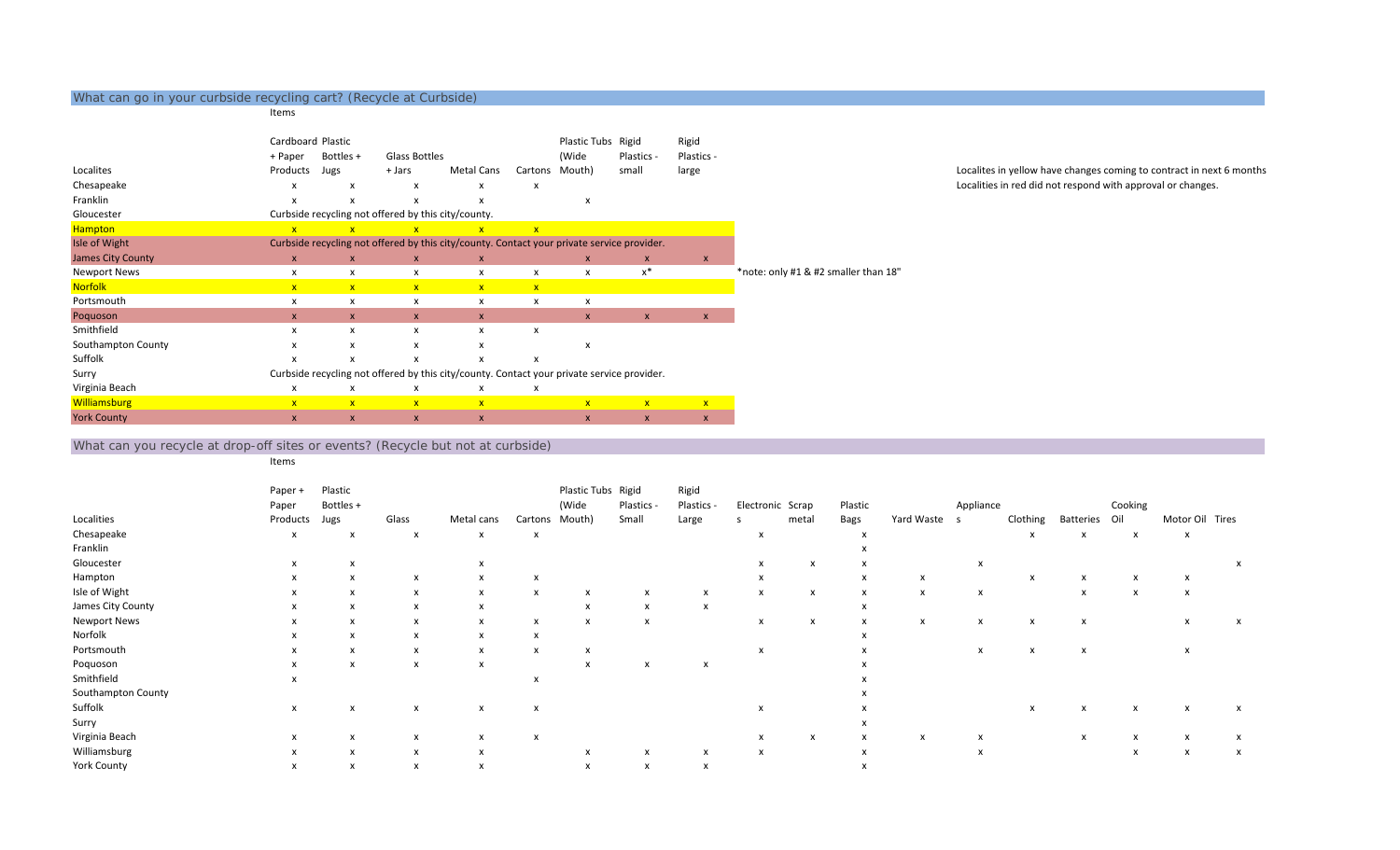## What can go in your curbside recycling cart? (Recycle at Curbside)

## Items

|                          | Cardboard Plastic       |              |                                                     |                                                                                            |              | Plastic Tubs       | Rigid                     | Rigid        |                                      |
|--------------------------|-------------------------|--------------|-----------------------------------------------------|--------------------------------------------------------------------------------------------|--------------|--------------------|---------------------------|--------------|--------------------------------------|
|                          | + Paper                 | Bottles +    | <b>Glass Bottles</b>                                |                                                                                            |              | (Wide              | Plastics -                | Plastics -   |                                      |
| Localites                | Products                | Jugs         | + Jars                                              | Metal Cans                                                                                 | Cartons      | Mouth)             | small                     | large        |                                      |
| Chesapeake               | x                       | x            | x                                                   | х                                                                                          | x            |                    |                           |              |                                      |
| Franklin                 | x                       | x            | x                                                   | x                                                                                          |              | x                  |                           |              |                                      |
| Gloucester               |                         |              | Curbside recycling not offered by this city/county. |                                                                                            |              |                    |                           |              |                                      |
| <b>Hampton</b>           | $\overline{\mathsf{x}}$ |              | $\overline{\mathbf{x}}$                             | $\overline{\mathsf{x}}$                                                                    | $\mathbf{x}$ |                    |                           |              |                                      |
| Isle of Wight            |                         |              |                                                     | Curbside recycling not offered by this city/county. Contact your private service provider. |              |                    |                           |              |                                      |
| <b>James City County</b> | $\mathsf{x}$            | $\mathsf{x}$ | $\mathsf{x}$                                        | X                                                                                          |              | $\pmb{\mathsf{x}}$ | X                         | $\mathbf{x}$ |                                      |
| <b>Newport News</b>      | x                       | x            | x                                                   | x                                                                                          | x            | $\mathsf{x}$       | $x^*$                     |              | *note: only #1 & #2 smaller than 18" |
| <b>Norfolk</b>           | $\mathbf{x}$            | $\mathbf{x}$ | $\mathbf{x}$                                        | $\mathbf{x}$                                                                               | $\mathbf{x}$ |                    |                           |              |                                      |
| Portsmouth               | x                       | x            | x                                                   | x                                                                                          | x            | x                  |                           |              |                                      |
| Poquoson                 | $\mathsf{x}$            | <b>X</b>     | $\mathsf{x}$                                        | X                                                                                          |              | $\mathsf{x}$       | $\boldsymbol{\mathsf{x}}$ | $\mathsf{x}$ |                                      |
| Smithfield               | x                       | x            | x                                                   | х                                                                                          | x            |                    |                           |              |                                      |
| Southampton County       | x                       | $\mathsf{x}$ | x                                                   | x                                                                                          |              | x                  |                           |              |                                      |
| Suffolk                  | x                       | x            | X                                                   | x                                                                                          | X            |                    |                           |              |                                      |
| Surry                    |                         |              |                                                     | Curbside recycling not offered by this city/county. Contact your private service provider. |              |                    |                           |              |                                      |
| Virginia Beach           | x                       | x            | x                                                   | х                                                                                          | x            |                    |                           |              |                                      |
| <b>Williamsburg</b>      | $\mathbf{x}$            | $\mathbf{x}$ | $\mathbf{x}$                                        | $\mathbf{x}$                                                                               |              | $\mathbf{x}$       | $\mathbf{x}$              | $\mathbf{x}$ |                                      |
| <b>York County</b>       | $\mathsf{x}$            | X            | X                                                   | X                                                                                          |              | X                  | X                         | $\mathsf{x}$ |                                      |

Localites in yellow have changes coming to contract in next 6 months Localities in red did not respond with approval or changes.

## What can you recycle at drop-off sites or events? (Recycle but not at curbside)

Items

|                     | Paper +                   | Plastic                   |              |            |         | Plastic Tubs Rigid |                           | Rigid                     |                           |                  |         |              |           |          |               |                           |                           |   |
|---------------------|---------------------------|---------------------------|--------------|------------|---------|--------------------|---------------------------|---------------------------|---------------------------|------------------|---------|--------------|-----------|----------|---------------|---------------------------|---------------------------|---|
|                     | Paper                     | Bottles +                 |              |            |         | (Wide              | Plastics -                | Plastics -                |                           | Electronic Scrap | Plastic |              | Appliance |          |               | Cooking                   |                           |   |
| Localities          | Products                  | Jugs                      | Glass        | Metal cans | Cartons | Mouth)             | Small                     | Large                     |                           | metal            | Bags    | Yard Waste s |           | Clothing | Batteries Oil |                           | Motor Oil Tires           |   |
| Chesapeake          | х                         | x                         | x            | x          |         |                    |                           |                           | $\boldsymbol{\mathsf{x}}$ |                  |         |              |           | x        |               | x                         | X                         |   |
| Franklin            |                           |                           |              |            |         |                    |                           |                           |                           |                  |         |              |           |          |               |                           |                           |   |
| Gloucester          | X                         |                           |              |            |         |                    |                           |                           |                           |                  |         |              | X         |          |               |                           |                           |   |
| Hampton             | X                         | x                         | x            | x          | X       |                    |                           |                           |                           |                  | x       | х            |           |          |               |                           | X                         |   |
| Isle of Wight       | X                         | $\boldsymbol{\mathsf{x}}$ | X            | x          | x       | X                  | X                         | X                         | x                         | x                | X       | X            | x         |          | X             | $\boldsymbol{\mathsf{x}}$ | $\boldsymbol{\mathsf{x}}$ |   |
| James City County   | x                         |                           | x            |            |         |                    |                           |                           |                           |                  |         |              |           |          |               |                           |                           |   |
| <b>Newport News</b> | x                         | X                         | x            |            | X       | X                  | X                         |                           | X                         |                  |         | x            | X         |          |               |                           |                           |   |
| Norfolk             |                           |                           | x            |            |         |                    |                           |                           |                           |                  |         |              |           |          |               |                           |                           |   |
| Portsmouth          | x                         | X                         | x            | x          | X       | X                  |                           |                           | X                         |                  |         |              | X         |          |               |                           | X                         |   |
| Poquoson            | x                         | $\mathsf{x}$              | x            | x          |         | $\mathsf{x}$       | $\boldsymbol{\mathsf{x}}$ | $\boldsymbol{\mathsf{x}}$ |                           |                  |         |              |           |          |               |                           |                           |   |
| Smithfield          | $\boldsymbol{\mathsf{x}}$ |                           |              |            |         |                    |                           |                           |                           |                  |         |              |           |          |               |                           |                           |   |
| Southampton County  |                           |                           |              |            |         |                    |                           |                           |                           |                  |         |              |           |          |               |                           |                           |   |
| Suffolk             | x                         |                           | х            | X          | X       |                    |                           |                           | $\boldsymbol{\mathsf{x}}$ |                  |         |              |           |          |               |                           | X                         | х |
| Surry               |                           |                           |              |            |         |                    |                           |                           |                           |                  |         |              |           |          |               |                           |                           |   |
| Virginia Beach      | X                         |                           | $\mathbf{x}$ | x          | x       |                    |                           |                           |                           | x                | X       | x            |           |          | X             |                           | X                         |   |
| Williamsburg        | X                         | X                         | x            |            |         |                    |                           |                           |                           |                  |         |              | X         |          |               | X                         | x                         | х |
| <b>York County</b>  | x                         |                           | x            |            |         |                    | X                         |                           |                           |                  |         |              |           |          |               |                           |                           |   |